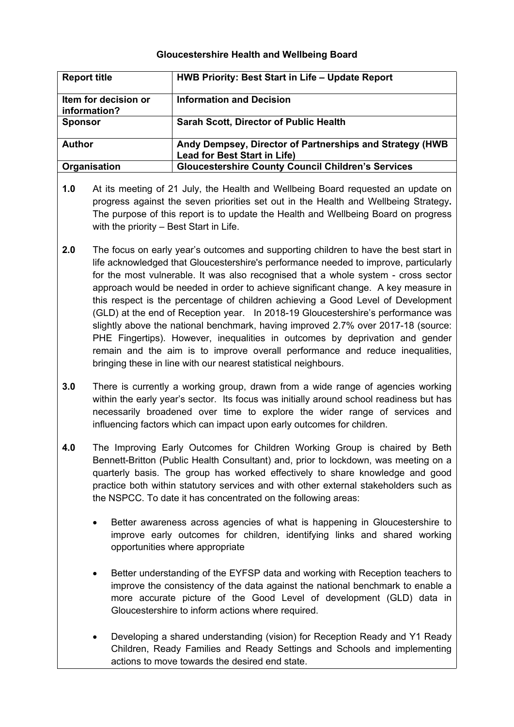## **Gloucestershire Health and Wellbeing Board**

| <b>Report title</b>                  | HWB Priority: Best Start in Life – Update Report                                                 |
|--------------------------------------|--------------------------------------------------------------------------------------------------|
| Item for decision or<br>information? | <b>Information and Decision</b>                                                                  |
| <b>Sponsor</b>                       | <b>Sarah Scott, Director of Public Health</b>                                                    |
| <b>Author</b>                        | Andy Dempsey, Director of Partnerships and Strategy (HWB)<br><b>Lead for Best Start in Life)</b> |
| Organisation                         | <b>Gloucestershire County Council Children's Services</b>                                        |

- **1.0** At its meeting of 21 July, the Health and Wellbeing Board requested an update on progress against the seven priorities set out in the Health and Wellbeing Strategy**.**  The purpose of this report is to update the Health and Wellbeing Board on progress with the priority – Best Start in Life.
- **2.0** The focus on early year's outcomes and supporting children to have the best start in life acknowledged that Gloucestershire's performance needed to improve, particularly for the most vulnerable. It was also recognised that a whole system - cross sector approach would be needed in order to achieve significant change. A key measure in this respect is the percentage of children achieving a Good Level of Development (GLD) at the end of Reception year. In 2018-19 Gloucestershire's performance was slightly above the national benchmark, having improved 2.7% over 2017-18 (source: PHE Fingertips). However, inequalities in outcomes by deprivation and gender remain and the aim is to improve overall performance and reduce inequalities, bringing these in line with our nearest statistical neighbours.
- **3.0** There is currently a working group, drawn from a wide range of agencies working within the early year's sector. Its focus was initially around school readiness but has necessarily broadened over time to explore the wider range of services and influencing factors which can impact upon early outcomes for children.
- **4.0** The Improving Early Outcomes for Children Working Group is chaired by Beth Bennett-Britton (Public Health Consultant) and, prior to lockdown, was meeting on a quarterly basis. The group has worked effectively to share knowledge and good practice both within statutory services and with other external stakeholders such as the NSPCC. To date it has concentrated on the following areas:
	- Better awareness across agencies of what is happening in Gloucestershire to improve early outcomes for children, identifying links and shared working opportunities where appropriate
	- Better understanding of the EYFSP data and working with Reception teachers to improve the consistency of the data against the national benchmark to enable a more accurate picture of the Good Level of development (GLD) data in Gloucestershire to inform actions where required.
	- Developing a shared understanding (vision) for Reception Ready and Y1 Ready Children, Ready Families and Ready Settings and Schools and implementing actions to move towards the desired end state.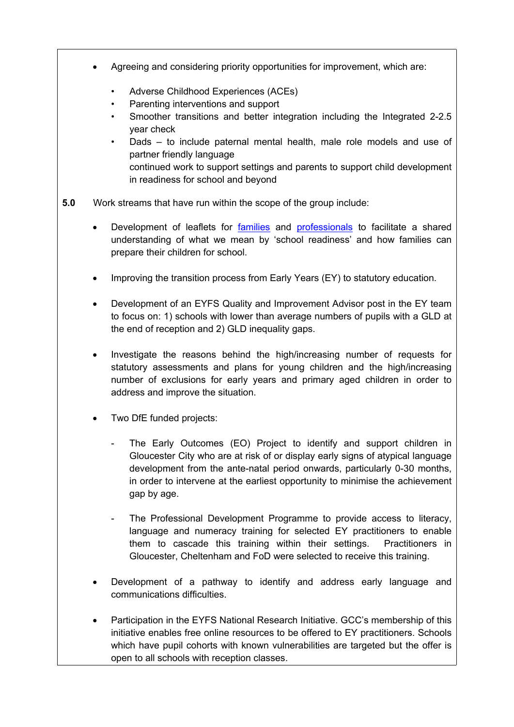- Agreeing and considering priority opportunities for improvement, which are:
	- Adverse Childhood Experiences (ACEs)
	- Parenting interventions and support
	- Smoother transitions and better integration including the Integrated 2-2.5 year check
	- Dads to include paternal mental health, male role models and use of partner friendly language continued work to support settings and parents to support child development in readiness for school and beyond
- **5.0** Work streams that have run within the scope of the group include:
	- Development of leaflets for [families](https://www.gloucestershire.gov.uk/media/2092781/gcc_2655-school-readiness-leaflet-families_aw.pdf) and [professionals](https://www.gloucestershire.gov.uk/media/2092803/gcc_2655-school-readiness-leaflet-professionals_dev6-final.pdf) to facilitate a shared understanding of what we mean by 'school readiness' and how families can prepare their children for school.
	- Improving the transition process from Early Years (EY) to statutory education.
	- Development of an EYFS Quality and Improvement Advisor post in the EY team to focus on: 1) schools with lower than average numbers of pupils with a GLD at the end of reception and 2) GLD inequality gaps.
	- Investigate the reasons behind the high/increasing number of requests for statutory assessments and plans for young children and the high/increasing number of exclusions for early years and primary aged children in order to address and improve the situation.
	- Two DfE funded projects:
		- The Early Outcomes (EO) Project to identify and support children in Gloucester City who are at risk of or display early signs of atypical language development from the ante-natal period onwards, particularly 0-30 months, in order to intervene at the earliest opportunity to minimise the achievement gap by age.
		- The Professional Development Programme to provide access to literacy, language and numeracy training for selected EY practitioners to enable them to cascade this training within their settings. Practitioners in Gloucester, Cheltenham and FoD were selected to receive this training.
	- Development of a pathway to identify and address early language and communications difficulties.
	- Participation in the EYFS National Research Initiative. GCC's membership of this initiative enables free online resources to be offered to EY practitioners. Schools which have pupil cohorts with known vulnerabilities are targeted but the offer is open to all schools with reception classes.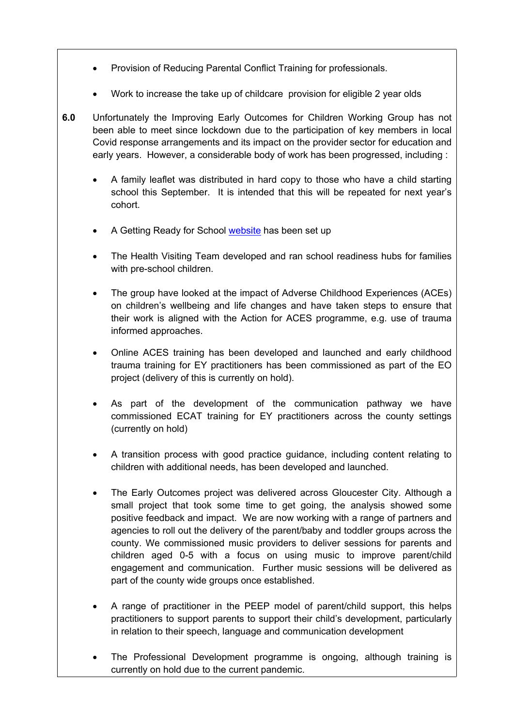- Provision of Reducing Parental Conflict Training for professionals.
- Work to increase the take up of childcare provision for eligible 2 year olds
- **6.0** Unfortunately the Improving Early Outcomes for Children Working Group has not been able to meet since lockdown due to the participation of key members in local Covid response arrangements and its impact on the provider sector for education and early years. However, a considerable body of work has been progressed, including :
	- A family leaflet was distributed in hard copy to those who have a child starting school this September. It is intended that this will be repeated for next year's cohort.
	- A Getting Ready for School [website](https://www.gloucestershire.gov.uk/education-and-learning/getting-ready-for-school/) has been set up
	- The Health Visiting Team developed and ran school readiness hubs for families with pre-school children.
	- The group have looked at the impact of Adverse Childhood Experiences (ACEs) on children's wellbeing and life changes and have taken steps to ensure that their work is aligned with the Action for ACES programme, e.g. use of trauma informed approaches.
	- Online ACES training has been developed and launched and early childhood trauma training for EY practitioners has been commissioned as part of the EO project (delivery of this is currently on hold).
	- As part of the development of the communication pathway we have commissioned ECAT training for EY practitioners across the county settings (currently on hold)
	- A transition process with good practice guidance, including content relating to children with additional needs, has been developed and launched.
	- The Early Outcomes project was delivered across Gloucester City. Although a small project that took some time to get going, the analysis showed some positive feedback and impact. We are now working with a range of partners and agencies to roll out the delivery of the parent/baby and toddler groups across the county. We commissioned music providers to deliver sessions for parents and children aged 0-5 with a focus on using music to improve parent/child engagement and communication. Further music sessions will be delivered as part of the county wide groups once established.
	- A range of practitioner in the PEEP model of parent/child support, this helps practitioners to support parents to support their child's development, particularly in relation to their speech, language and communication development
	- The Professional Development programme is ongoing, although training is currently on hold due to the current pandemic.